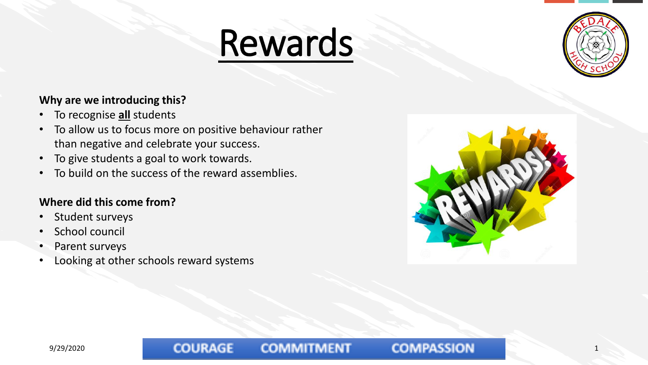



### **Why are we introducing this?**

- To recognise **all** students
- To allow us to focus more on positive behaviour rather than negative and celebrate your success.
- To give students a goal to work towards.
- To build on the success of the reward assemblies.

### **Where did this come from?**

- Student surveys
- School council
- Parent surveys
- Looking at other schools reward systems

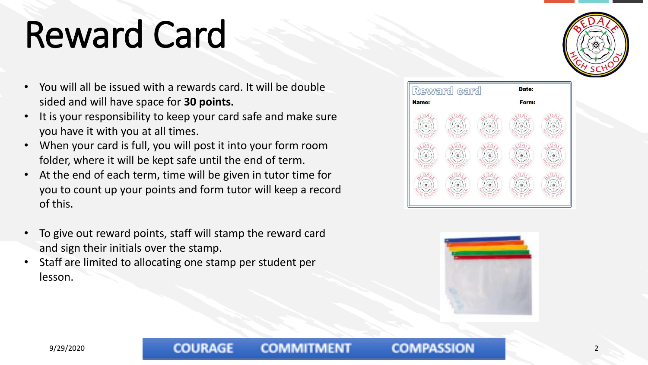## Reward Card

- You will all be issued with a rewards card. It will be double sided and will have space for **30 points.**
- It is your responsibility to keep your card safe and make sure you have it with you at all times.
- When your card is full, you will post it into your form room folder, where it will be kept safe until the end of term.
- At the end of each term, time will be given in tutor time for you to count up your points and form tutor will keep a record of this.
- To give out reward points, staff will stamp the reward card and sign their initials over the stamp.
- Staff are limited to allocating one stamp per student per lesson.







### 9/29/2020 COURAGE COMMITMENT COMPASSION 2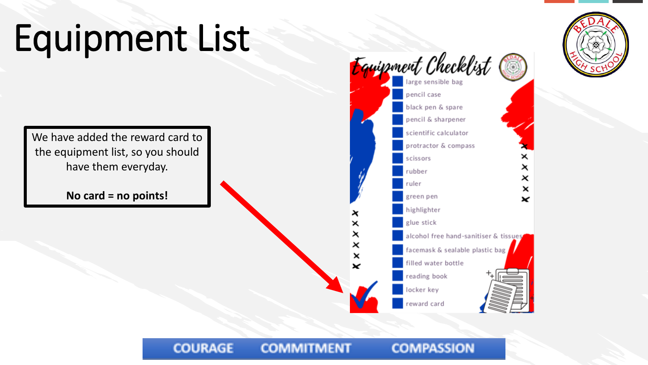# Equipment List

We have added the reward card to the equipment list, so you should have them everyday.

**No card = no points!**

**COURAGE** 





#### **COMPASSION COMMITMENT**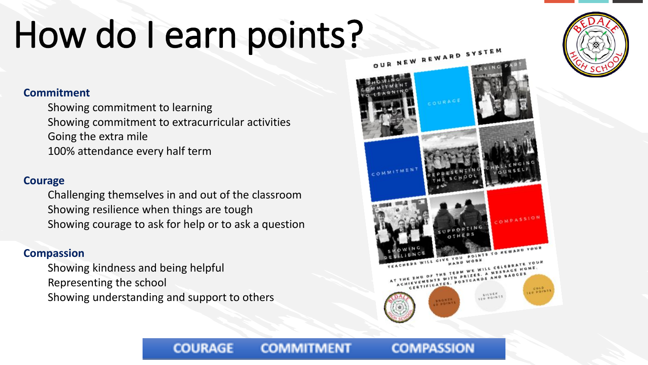## How do I earn points?

### **Commitment**

Showing commitment to learning Showing commitment to extracurricular activities Going the extra mile 100% attendance every half term

### **Courage**

Challenging themselves in and out of the classroom Showing resilience when things are tough Showing courage to ask for help or to ask a question

**COURAGE** 

### **Compassion**

Showing kindness and being helpful Representing the school Showing understanding and support to others





#### **COMPASSION COMMITMENT**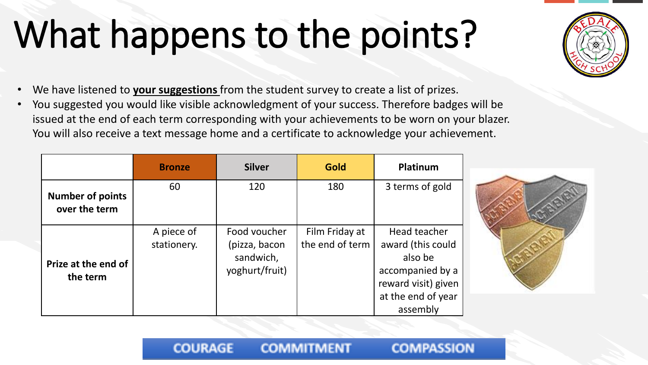## What happens to the points?

- We have listened to **your suggestions** from the student survey to create a list of prizes.
- You suggested you would like visible acknowledgment of your success. Therefore badges will be issued at the end of each term corresponding with your achievements to be worn on your blazer. You will also receive a text message home and a certificate to acknowledge your achievement.

|                                          | <b>Bronze</b>             | <b>Silver</b>                                                | Gold                              | Platinum                                                                                                                  |
|------------------------------------------|---------------------------|--------------------------------------------------------------|-----------------------------------|---------------------------------------------------------------------------------------------------------------------------|
| <b>Number of points</b><br>over the term | 60                        | 120                                                          | 180                               | 3 terms of gold                                                                                                           |
| Prize at the end of<br>the term          | A piece of<br>stationery. | Food voucher<br>(pizza, bacon<br>sandwich,<br>yoghurt/fruit) | Film Friday at<br>the end of term | Head teacher<br>award (this could<br>also be<br>accompanied by a<br>reward visit) given<br>at the end of year<br>assembly |

**COMMITMENT** 

**COURAGE** 



**COMPASSION**